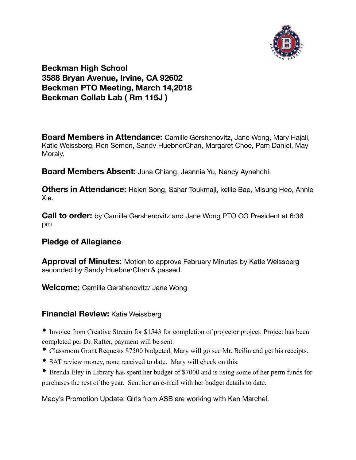

# **Beckman High School 3588 Bryan Avenue, Irvine, CA 92602 Beckman PTO Meeting, March 14,2018 Beckman Collab Lab ( Rm 115J )**

**Board Members in Attendance:** Camille Gershenovitz, Jane Wong, Mary Hajali, Katie Weissberg, Ron Semon, Sandy HuebnerChan, Margaret Choe, Pam Daniel, May Moraly.

**Board Members Absent:** Juna Chiang, Jeannie Yu, Nancy Aynehchi.

**Others in Attendance:** Helen Song, Sahar Toukmaji, kellie Bae, Misung Heo, Annie Xie.

**Call to order:** by Camille Gershenovitz and Jane Wong PTO CO President at 6:36 pm

## **Pledge of Allegiance**

**Approval of Minutes:** Motion to approve February Minutes by Katie Weissberg seconded by Sandy HuebnerChan & passed.

**Welcome:** Camille Gershenovitz/ Jane Wong

### **Financial Review:** Katie Weissberg

• Invoice from Creative Stream for \$1543 for completion of projector project. Project has been completed per Dr. Rafter, payment will be sent.

- Classroom Grant Requests \$7500 budgeted, Mary will go see Mr. Beilin and get his receipts.
- SAT review money, none received to date. Mary will check on this.
- Brenda Eley in Library has spent her budget of \$7000 and is using some of her perm funds for purchases the rest of the year. Sent her an e-mail with her budget details to date.

Macy's Promotion Update: Girls from ASB are working with Ken Marchel.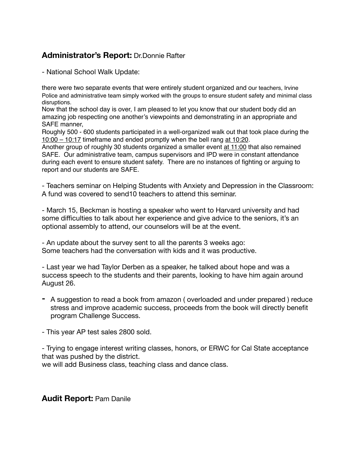# **Administrator's Report:** Dr.Donnie Rafter

- National School Walk Update:

there were two separate events that were entirely student organized and our teachers, Irvine Police and administrative team simply worked with the groups to ensure student safety and minimal class disruptions.

Now that the school day is over, I am pleased to let you know that our student body did an amazing job respecting one another's viewpoints and demonstrating in an appropriate and SAFE manner,

Roughly 500 - 600 students participated in a well-organized walk out that took place during the [10:00 – 10:17](x-apple-data-detectors://1) timeframe and ended promptly when the bell rang [at 10:20](x-apple-data-detectors://2).

Another group of roughly 30 students organized a smaller event [at 11:00](x-apple-data-detectors://3) that also remained SAFE. Our administrative team, campus supervisors and IPD were in constant attendance during each event to ensure student safety. There are no instances of fighting or arguing to report and our students are SAFE.

- Teachers seminar on Helping Students with Anxiety and Depression in the Classroom: A fund was covered to send10 teachers to attend this seminar.

- March 15, Beckman is hosting a speaker who went to Harvard university and had some difficulties to talk about her experience and give advice to the seniors, it's an optional assembly to attend, our counselors will be at the event.

- An update about the survey sent to all the parents 3 weeks ago: Some teachers had the conversation with kids and it was productive.

- Last year we had Taylor Derben as a speaker, he talked about hope and was a success speech to the students and their parents, looking to have him again around August 26.

- **-** A suggestion to read a book from amazon ( overloaded and under prepared ) reduce stress and improve academic success, proceeds from the book will directly benefit program Challenge Success.
- This year AP test sales 2800 sold.

- Trying to engage interest writing classes, honors, or ERWC for Cal State acceptance that was pushed by the district.

we will add Business class, teaching class and dance class.

#### **Audit Report:** Pam Danile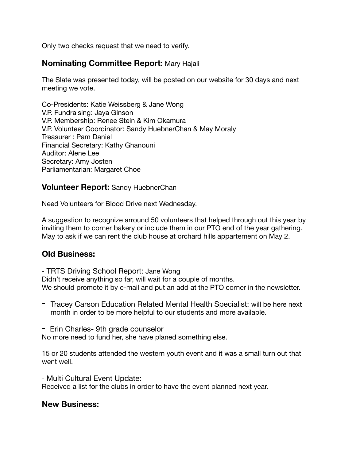Only two checks request that we need to verify.

### **Nominating Committee Report:** Mary Hajali

The Slate was presented today, will be posted on our website for 30 days and next meeting we vote.

Co-Presidents: Katie Weissberg & Jane Wong V.P. Fundraising: Jaya Ginson V.P. Membership: Renee Stein & Kim Okamura V.P. Volunteer Coordinator: Sandy HuebnerChan & May Moraly Treasurer : Pam Daniel Financial Secretary: Kathy Ghanouni Auditor: Alene Lee Secretary: Amy Josten Parliamentarian: Margaret Choe

#### **Volunteer Report:** Sandy HuebnerChan

Need Volunteers for Blood Drive next Wednesday.

A suggestion to recognize arround 50 volunteers that helped through out this year by inviting them to corner bakery or include them in our PTO end of the year gathering. May to ask if we can rent the club house at orchard hills appartement on May 2.

## **Old Business:**

- TRTS Driving School Report: Jane Wong

Didn't receive anything so far, will wait for a couple of months. We should promote it by e-mail and put an add at the PTO corner in the newsletter.

- **-** Tracey Carson Education Related Mental Health Specialist: will be here next month in order to be more helpful to our students and more available.
- **-** Erin Charles- 9th grade counselor

No more need to fund her, she have planed something else.

15 or 20 students attended the western youth event and it was a small turn out that went well.

- Multi Cultural Event Update:

Received a list for the clubs in order to have the event planned next year.

### **New Business:**